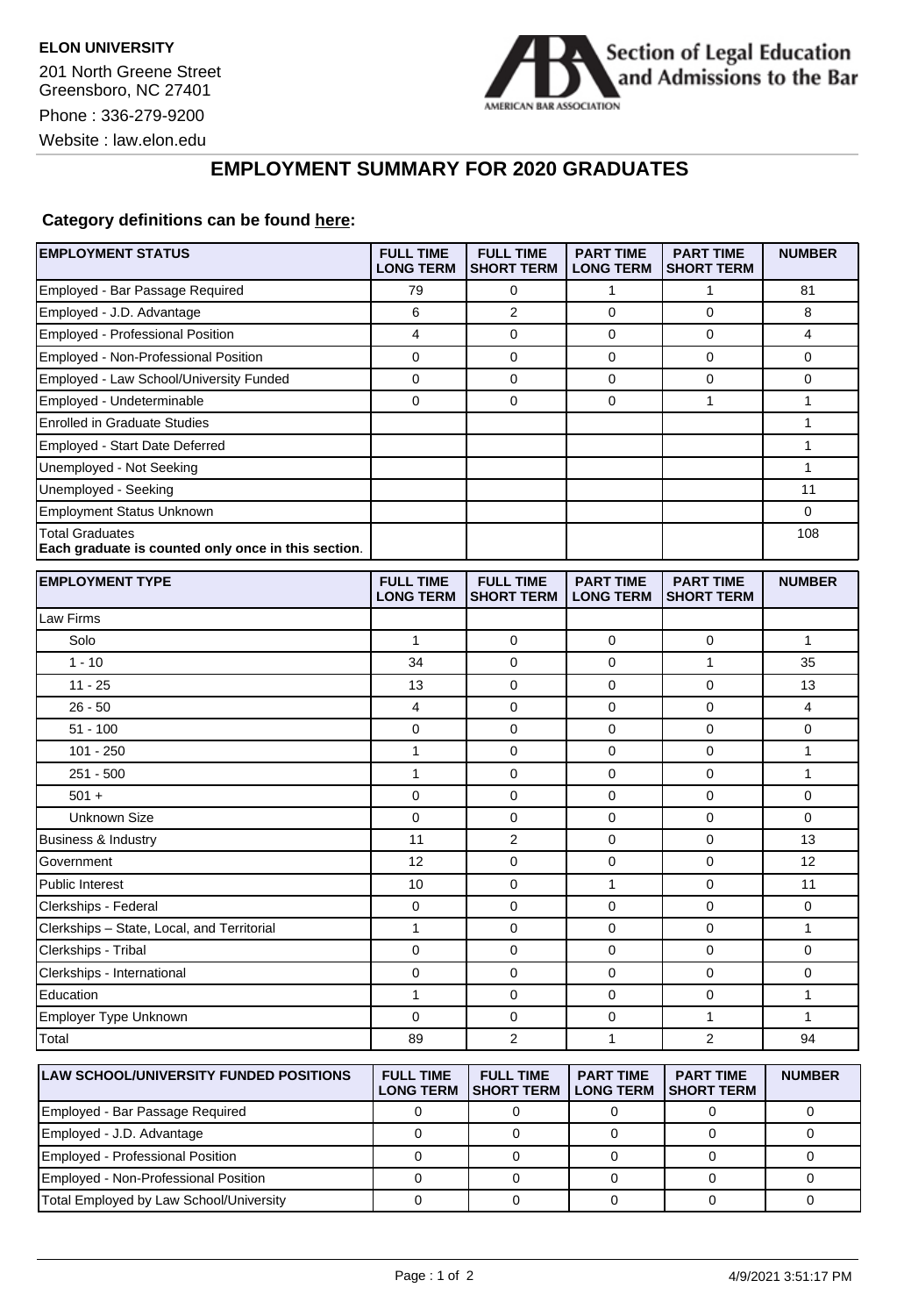

## **EMPLOYMENT SUMMARY FOR 2020 GRADUATES**

## **Category definitions can be found [here:](https://www.americanbar.org/content/dam/aba/administrative/legal_education_and_admissions_to_the_bar/Questionnaires/employment-protocol-class-of-2020.pdf)**

| <b>EMPLOYMENT STATUS</b>                                                      | <b>FULL TIME</b><br><b>LONG TERM</b> | <b>FULL TIME</b><br><b>SHORT TERM</b> | <b>PART TIME</b><br><b>LONG TERM</b> | <b>PART TIME</b><br><b>SHORT TERM</b> | <b>NUMBER</b> |
|-------------------------------------------------------------------------------|--------------------------------------|---------------------------------------|--------------------------------------|---------------------------------------|---------------|
| Employed - Bar Passage Required                                               | 79                                   | 0                                     | $\mathbf{1}$                         | 1                                     | 81            |
| Employed - J.D. Advantage                                                     | 6                                    | 2                                     | 0                                    | 0                                     | 8             |
| Employed - Professional Position                                              | 4                                    | $\mathbf 0$                           | 0                                    | $\mathbf 0$                           | 4             |
| Employed - Non-Professional Position                                          | 0                                    | 0                                     | 0                                    | 0                                     | 0             |
| Employed - Law School/University Funded                                       | 0                                    | 0                                     | 0                                    | $\mathbf 0$                           | 0             |
| Employed - Undeterminable                                                     | 0                                    | $\mathbf 0$                           | 0                                    | 1                                     | 1             |
| <b>Enrolled in Graduate Studies</b>                                           |                                      |                                       |                                      |                                       | 1             |
| Employed - Start Date Deferred                                                |                                      |                                       |                                      |                                       | 1             |
| Unemployed - Not Seeking                                                      |                                      |                                       |                                      |                                       | $\mathbf{1}$  |
| Unemployed - Seeking                                                          |                                      |                                       |                                      |                                       | 11            |
| <b>Employment Status Unknown</b>                                              |                                      |                                       |                                      |                                       | 0             |
| <b>Total Graduates</b><br>Each graduate is counted only once in this section. |                                      |                                       |                                      |                                       | 108           |
| <b>EMPLOYMENT TYPE</b>                                                        | <b>FULL TIME</b><br><b>LONG TERM</b> | <b>FULL TIME</b><br><b>SHORT TERM</b> | <b>PART TIME</b><br><b>LONG TERM</b> | <b>PART TIME</b><br><b>SHORT TERM</b> | <b>NUMBER</b> |
| Law Firms                                                                     |                                      |                                       |                                      |                                       |               |
| Solo                                                                          | 1                                    | 0                                     | 0                                    | 0                                     | 1             |
| $1 - 10$                                                                      | 34                                   | $\mathbf 0$                           | 0                                    | 1                                     | 35            |
| $11 - 25$                                                                     | 13                                   | $\mathbf 0$                           | 0                                    | $\mathbf 0$                           | 13            |
| $26 - 50$                                                                     | 4                                    | $\mathbf 0$                           | 0                                    | 0                                     | 4             |
| $51 - 100$                                                                    | 0                                    | $\mathbf 0$                           | 0                                    | $\mathbf 0$                           | 0             |
| $101 - 250$                                                                   | 1                                    | 0                                     | 0                                    | 0                                     | 1             |
| $251 - 500$                                                                   | $\mathbf{1}$                         | $\mathbf 0$                           | 0                                    | $\mathbf 0$                           | $\mathbf{1}$  |
| $501 +$                                                                       | 0                                    | $\mathbf 0$                           | 0                                    | $\mathbf 0$                           | 0             |
| <b>Unknown Size</b>                                                           | 0                                    | 0                                     | 0                                    | $\mathbf 0$                           | 0             |
| Business & Industry                                                           | 11                                   | $\overline{2}$                        | 0                                    | 0                                     | 13            |
| Government                                                                    | 12                                   | 0                                     | 0                                    | $\mathbf 0$                           | 12            |
| <b>Public Interest</b>                                                        | 10                                   | $\mathbf 0$                           | $\mathbf{1}$                         | $\mathbf 0$                           | 11            |
| Clerkships - Federal                                                          | 0                                    | $\mathbf 0$                           | 0                                    | 0                                     | 0             |
| Clerkships - State, Local, and Territorial                                    | $\mathbf{1}$                         | $\mathbf 0$                           | 0                                    | $\mathbf 0$                           | $\mathbf{1}$  |
| Clerkships - Tribal                                                           | 0                                    | 0                                     | 0                                    | 0                                     | 0             |
| Clerkships - International                                                    | 0                                    | $\mathbf 0$                           | 0                                    | $\mathbf 0$                           | 0             |
| Education                                                                     | 1                                    | 0                                     | 0                                    | 0                                     | 1             |
| Employer Type Unknown                                                         | 0                                    | $\mathbf 0$                           | 0                                    | 1                                     | $\mathbf{1}$  |
| Total                                                                         | 89                                   | $\overline{c}$                        | 1                                    | $\overline{2}$                        | 94            |
| LAW SCHOOL/UNIVERSITY FUNDED POSITIONS                                        | <b>FULL TIME</b><br><b>LONG TERM</b> | <b>FULL TIME</b><br><b>SHORT TERM</b> | <b>PART TIME</b><br><b>LONG TERM</b> | <b>PART TIME</b><br><b>SHORT TERM</b> | <b>NUMBER</b> |
| Employed - Bar Passage Required                                               | 0                                    | 0                                     | $\mathbf 0$                          | 0                                     | 0             |
| Employed - J.D. Advantage                                                     | 0                                    | 0                                     | $\mathbf 0$                          | 0                                     | 0             |
| Employed - Professional Position                                              | $\mathbf 0$                          | 0                                     | 0                                    | 0                                     | 0             |
| Employed - Non-Professional Position                                          | $\mathbf 0$                          | $\mathbf 0$                           | $\mathbf 0$                          | $\mathbf 0$                           | 0             |

Total Employed by Law School/University 0 0 0 0 0